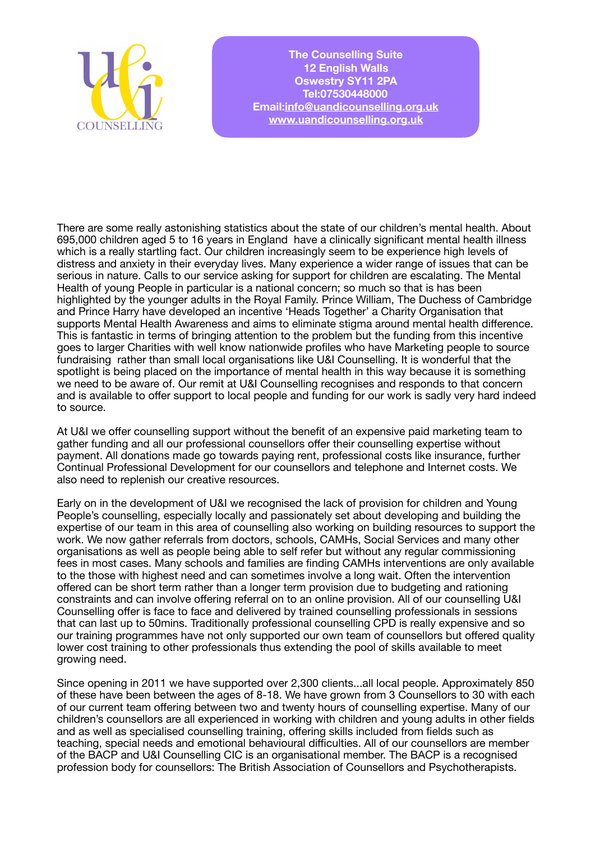

**The Counselling Suite 12 English Walls Oswestry SY11 2PA Tel:07530448000 Email[:info@uandicounselling.org.uk](mailto:info@uandicounselling.org.uk) [www.uandicounselling.org.uk](http://www.uandicounselling.org.uk)**

There are some really astonishing statistics about the state of our children's mental health. About 695,000 children aged 5 to 16 years in England have a clinically significant mental health illness which is a really startling fact. Our children increasingly seem to be experience high levels of distress and anxiety in their everyday lives. Many experience a wider range of issues that can be serious in nature. Calls to our service asking for support for children are escalating. The Mental Health of young People in particular is a national concern; so much so that is has been highlighted by the younger adults in the Royal Family. Prince William, The Duchess of Cambridge and Prince Harry have developed an incentive 'Heads Together' a Charity Organisation that supports Mental Health Awareness and aims to eliminate stigma around mental health difference. This is fantastic in terms of bringing attention to the problem but the funding from this incentive goes to larger Charities with well know nationwide profiles who have Marketing people to source fundraising rather than small local organisations like U&I Counselling. It is wonderful that the spotlight is being placed on the importance of mental health in this way because it is something we need to be aware of. Our remit at U&I Counselling recognises and responds to that concern and is available to offer support to local people and funding for our work is sadly very hard indeed to source.

At U&I we offer counselling support without the benefit of an expensive paid marketing team to gather funding and all our professional counsellors offer their counselling expertise without payment. All donations made go towards paying rent, professional costs like insurance, further Continual Professional Development for our counsellors and telephone and Internet costs. We also need to replenish our creative resources.

Early on in the development of U&I we recognised the lack of provision for children and Young People's counselling, especially locally and passionately set about developing and building the expertise of our team in this area of counselling also working on building resources to support the work. We now gather referrals from doctors, schools, CAMHs, Social Services and many other organisations as well as people being able to self refer but without any regular commissioning fees in most cases. Many schools and families are finding CAMHs interventions are only available to the those with highest need and can sometimes involve a long wait. Often the intervention offered can be short term rather than a longer term provision due to budgeting and rationing constraints and can involve offering referral on to an online provision. All of our counselling U&I Counselling offer is face to face and delivered by trained counselling professionals in sessions that can last up to 50mins. Traditionally professional counselling CPD is really expensive and so our training programmes have not only supported our own team of counsellors but offered quality lower cost training to other professionals thus extending the pool of skills available to meet growing need.

Since opening in 2011 we have supported over 2,300 clients...all local people. Approximately 850 of these have been between the ages of 8-18. We have grown from 3 Counsellors to 30 with each of our current team offering between two and twenty hours of counselling expertise. Many of our children's counsellors are all experienced in working with children and young adults in other fields and as well as specialised counselling training, offering skills included from fields such as teaching, special needs and emotional behavioural difficulties. All of our counsellors are member of the BACP and U&I Counselling CIC is an organisational member. The BACP is a recognised profession body for counsellors: The British Association of Counsellors and Psychotherapists.